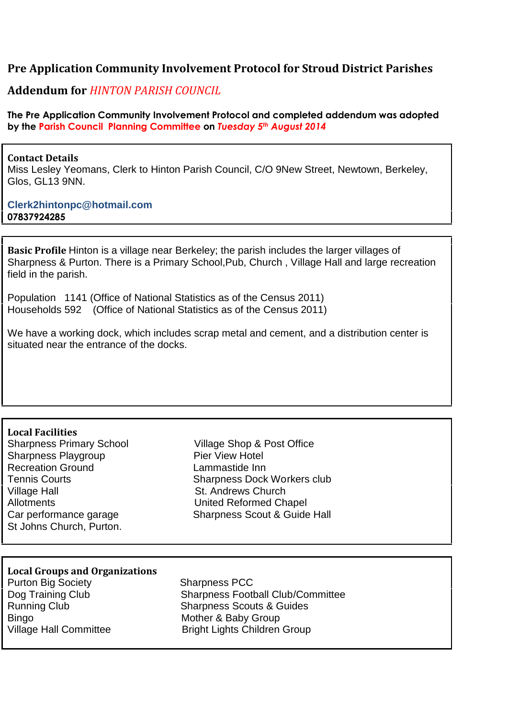# **Pre Application Community Involvement Protocol for Stroud District Parishes**

## **Addendum for** *HINTON PARISH COUNCIL*

**The Pre Application Community Involvement Protocol and completed addendum was adopted by the Parish Council Planning Committee on** *Tuesday 5th August 2014*

#### **Contact Details**

Miss Lesley Yeomans, Clerk to Hinton Parish Council, C/O 9New Street, Newtown, Berkeley, Glos, GL13 9NN.

### **Clerk2hintonpc@hotmail.com 07837924285**

**Basic Profile** Hinton is a village near Berkeley; the parish includes the larger villages of Sharpness & Purton. There is a Primary School,Pub, Church , Village Hall and large recreation field in the parish.

Population 1141 (Office of National Statistics as of the Census 2011) Households 592 (Office of National Statistics as of the Census 2011)

We have a working dock, which includes scrap metal and cement, and a distribution center is situated near the entrance of the docks.

#### **Local Facilities**

Sharpness Playgroup **Pier View Hotel** Recreation Ground **Lammastide Inn** Village Hall St. Andrews Church Allotments United Reformed Chapel St Johns Church, Purton.

Sharpness Primary School Village Shop & Post Office Tennis Courts **Sharpness Dock Workers club** Car performance garage Sharpness Scout & Guide Hall

### **Local Groups and Organizations**

**Purton Big Society** Sharpness PCC Bingo **Mother & Baby Group** 

Dog Training Club Sharpness Football Club/Committee Running Club Sharpness Scouts & Guides Village Hall Committee **Bright Lights Children Group**